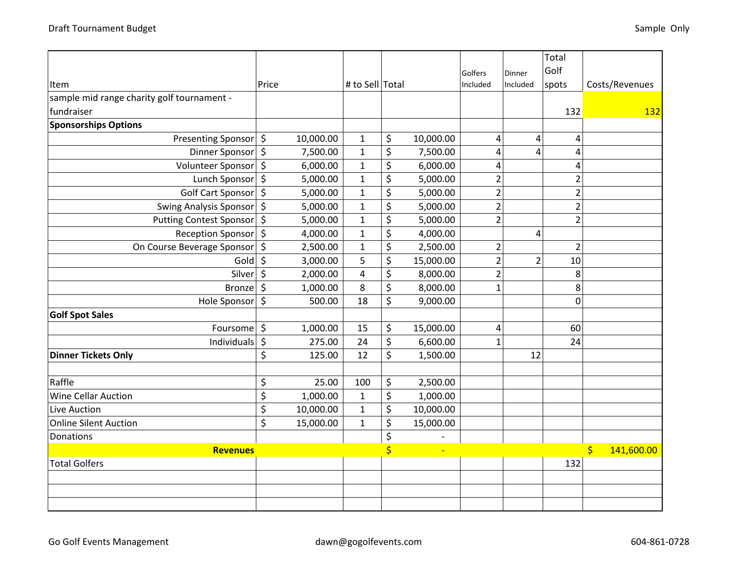|                                            |                  |           |                 |                         |           |                |                | Total          |                                       |
|--------------------------------------------|------------------|-----------|-----------------|-------------------------|-----------|----------------|----------------|----------------|---------------------------------------|
|                                            |                  |           |                 |                         |           | Golfers        | Dinner         | Golf           |                                       |
| Item                                       | Price            |           | # to Sell Total |                         |           | Included       | Included       | spots          | Costs/Revenues                        |
| sample mid range charity golf tournament - |                  |           |                 |                         |           |                |                |                |                                       |
| fundraiser                                 |                  |           |                 |                         |           |                |                | 132            | 132                                   |
| <b>Sponsorships Options</b>                |                  |           |                 |                         |           |                |                |                |                                       |
| Presenting Sponsor   \$                    |                  | 10,000.00 | $\mathbf{1}$    | \$                      | 10,000.00 | $\overline{a}$ | 4              | 4              |                                       |
| Dinner Sponsor   \$                        |                  | 7,500.00  | $\mathbf{1}$    | \$                      | 7,500.00  | 4              | 4              | 4              |                                       |
| Volunteer Sponsor   \$                     |                  | 6,000.00  | $\mathbf 1$     | \$                      | 6,000.00  | $\overline{4}$ |                | 4              |                                       |
| Lunch Sponsor   \$                         |                  | 5,000.00  | $\mathbf{1}$    | \$                      | 5,000.00  | $\overline{2}$ |                | $\overline{2}$ |                                       |
| Golf Cart Sponsor   \$                     |                  | 5,000.00  | $\mathbf 1$     | \$                      | 5,000.00  | $\overline{2}$ |                | $\overline{2}$ |                                       |
| Swing Analysis Sponsor   \$                |                  | 5,000.00  | $\mathbf 1$     | \$                      | 5,000.00  | $\overline{2}$ |                | $\overline{2}$ |                                       |
| Putting Contest Sponsor \$                 |                  | 5,000.00  | $\mathbf{1}$    | \$                      | 5,000.00  | $\overline{2}$ |                | $\overline{2}$ |                                       |
| Reception Sponsor \$                       |                  | 4,000.00  | $\mathbf 1$     | \$                      | 4,000.00  |                | 4              |                |                                       |
| On Course Beverage Sponsor                 | $\zeta$          | 2,500.00  | $\mathbf 1$     | \$                      | 2,500.00  | $\overline{2}$ |                | $\overline{2}$ |                                       |
| Gold                                       | $\zeta$          | 3,000.00  | 5               | \$                      | 15,000.00 | $\overline{2}$ | $\overline{2}$ | 10             |                                       |
| Silver \$                                  |                  | 2,000.00  | $\overline{4}$  | \$                      | 8,000.00  | $\overline{2}$ |                | 8              |                                       |
| Bronze                                     | $\zeta$          | 1,000.00  | 8               | \$                      | 8,000.00  | $\mathbf{1}$   |                | 8              |                                       |
| Hole Sponsor \$                            |                  | 500.00    | 18              | \$                      | 9,000.00  |                |                | 0              |                                       |
| <b>Golf Spot Sales</b>                     |                  |           |                 |                         |           |                |                |                |                                       |
| Foursome                                   | $\zeta$          | 1,000.00  | 15              | \$                      | 15,000.00 | $\overline{4}$ |                | 60             |                                       |
| Individuals                                | $\zeta$          | 275.00    | 24              | \$                      | 6,600.00  | 1              |                | 24             |                                       |
| <b>Dinner Tickets Only</b>                 | \$               | 125.00    | 12              | \$                      | 1,500.00  |                | 12             |                |                                       |
|                                            |                  |           |                 |                         |           |                |                |                |                                       |
| Raffle                                     | \$               | 25.00     | 100             | \$                      | 2,500.00  |                |                |                |                                       |
| <b>Wine Cellar Auction</b>                 | $\overline{\xi}$ | 1,000.00  | $1\,$           | \$                      | 1,000.00  |                |                |                |                                       |
| Live Auction                               | \$               | 10,000.00 | $\mathbf 1$     | \$                      | 10,000.00 |                |                |                |                                       |
| <b>Online Silent Auction</b>               | \$               | 15,000.00 | $\mathbf 1$     | \$                      | 15,000.00 |                |                |                |                                       |
| <b>Donations</b>                           |                  |           |                 | \$                      |           |                |                |                |                                       |
| <b>Revenues</b>                            |                  |           |                 | $\overline{\mathsf{S}}$ |           |                |                |                | $\overline{\mathsf{S}}$<br>141,600.00 |
| <b>Total Golfers</b>                       |                  |           |                 |                         |           |                |                | 132            |                                       |
|                                            |                  |           |                 |                         |           |                |                |                |                                       |
|                                            |                  |           |                 |                         |           |                |                |                |                                       |
|                                            |                  |           |                 |                         |           |                |                |                |                                       |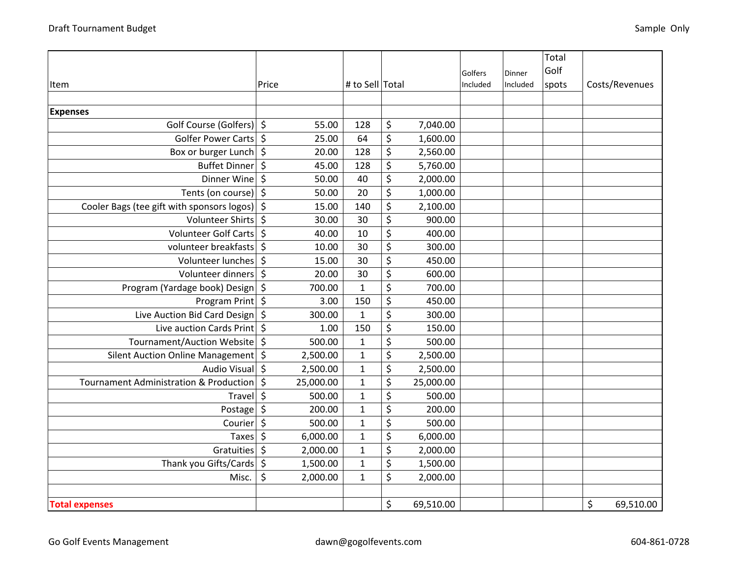|                                                   |                     |                 |                 |          |          | Total |                 |
|---------------------------------------------------|---------------------|-----------------|-----------------|----------|----------|-------|-----------------|
|                                                   |                     |                 |                 | Golfers  | Dinner   | Golf  |                 |
| Item                                              | Price               | # to Sell Total |                 | Included | Included | spots | Costs/Revenues  |
|                                                   |                     |                 |                 |          |          |       |                 |
| <b>Expenses</b>                                   |                     |                 |                 |          |          |       |                 |
| Golf Course (Golfers) \$                          | 55.00               | 128             | \$<br>7,040.00  |          |          |       |                 |
| Golfer Power Carts                                | \$<br>25.00         | 64              | \$<br>1,600.00  |          |          |       |                 |
| Box or burger Lunch                               | \$<br>20.00         | 128             | \$<br>2,560.00  |          |          |       |                 |
| Buffet Dinner                                     | $\zeta$<br>45.00    | 128             | \$<br>5,760.00  |          |          |       |                 |
| Dinner Wine                                       | \$<br>50.00         | 40              | \$<br>2,000.00  |          |          |       |                 |
| Tents (on course)                                 | \$<br>50.00         | 20              | \$<br>1,000.00  |          |          |       |                 |
| Cooler Bags (tee gift with sponsors logos)        | $\zeta$<br>15.00    | 140             | \$<br>2,100.00  |          |          |       |                 |
| Volunteer Shirts                                  | $\zeta$<br>30.00    | 30              | \$<br>900.00    |          |          |       |                 |
| Volunteer Golf Carts                              | \$<br>40.00         | 10              | \$<br>400.00    |          |          |       |                 |
| volunteer breakfasts                              | \$<br>10.00         | 30              | \$<br>300.00    |          |          |       |                 |
| Volunteer lunches                                 | $\zeta$<br>15.00    | 30              | \$<br>450.00    |          |          |       |                 |
| Volunteer dinners                                 | \$<br>20.00         | 30              | \$<br>600.00    |          |          |       |                 |
| Program (Yardage book) Design                     | \$<br>700.00        | $\mathbf{1}$    | \$<br>700.00    |          |          |       |                 |
| Program Print   \$                                | 3.00                | 150             | \$<br>450.00    |          |          |       |                 |
| Live Auction Bid Card Design                      | \$<br>300.00        | $\mathbf{1}$    | \$<br>300.00    |          |          |       |                 |
| Live auction Cards Print \$                       | 1.00                | 150             | \$<br>150.00    |          |          |       |                 |
| Tournament/Auction Website                        | \$<br>500.00        | $\mathbf{1}$    | \$<br>500.00    |          |          |       |                 |
| Silent Auction Online Management                  | \$<br>2,500.00      | $1\,$           | \$<br>2,500.00  |          |          |       |                 |
| <b>Audio Visual</b>                               | \$<br>2,500.00      | $\mathbf{1}$    | \$<br>2,500.00  |          |          |       |                 |
| <b>Tournament Administration &amp; Production</b> | \$<br>25,000.00     | $\mathbf{1}$    | \$<br>25,000.00 |          |          |       |                 |
| Travel                                            | \$<br>500.00        | $\mathbf{1}$    | \$<br>500.00    |          |          |       |                 |
| Postage                                           | $\zeta$<br>200.00   | $\mathbf 1$     | \$<br>200.00    |          |          |       |                 |
| Courier                                           | \$<br>500.00        | $\mathbf{1}$    | \$<br>500.00    |          |          |       |                 |
| Taxes                                             | $\zeta$<br>6,000.00 | $\mathbf{1}$    | \$<br>6,000.00  |          |          |       |                 |
| Gratuities                                        | \$<br>2,000.00      | $\mathbf{1}$    | \$<br>2,000.00  |          |          |       |                 |
| Thank you Gifts/Cards                             | \$<br>1,500.00      | $\mathbf{1}$    | \$<br>1,500.00  |          |          |       |                 |
| Misc.                                             | \$<br>2,000.00      | $\mathbf{1}$    | \$<br>2,000.00  |          |          |       |                 |
|                                                   |                     |                 |                 |          |          |       |                 |
| <b>Total expenses</b>                             |                     |                 | \$<br>69,510.00 |          |          |       | \$<br>69,510.00 |